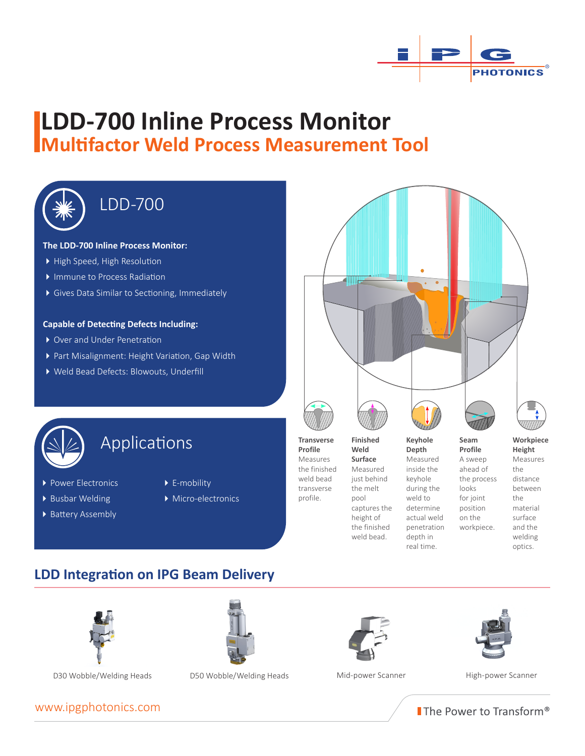

# **LDD-700 Inline Process Monitor Multifactor Weld Process Measurement Tool**



# LDD-700

#### **The LDD-700 Inline Process Monitor:**

- High Speed, High Resolution
- � Immune to Process Radiation
- � Gives Data Similar to Sectioning, Immediately

#### **Capable of Detecting Defects Including:**

- ▶ Over and Under Penetration
- ▶ Part Misalignment: Height Variation, Gap Width
- � Weld Bead Defects: Blowouts, Underfill





## Applications **Calculations Calculations Calculations Workpiece Workpiece Weld Report** *Profile* **Meight**

- ▶ Power Electronics
- ▶ Busbar Welding
- ▶ Battery Assembly
- 
- ▶ E-mobility
- ▶ Micro-electronics



**Weld Surface** Measured just behind the melt pool captures the height of the finished weld bead.

**Seam Profile** A sweep looks for joint position on the **Keyhole Depth** Measured inside the keyhole during the weld to determine actual weld penetration depth in real time.

**Height** Measures the distance between the material surface and the welding optics. ahead of the process workpiece.

## **LDD Integration on IPG Beam Delivery**





D30 Wobble/Welding Heads D50 Wobble/Welding Heads Mid-power Scanner High-power Scanner







The Power to Transform®